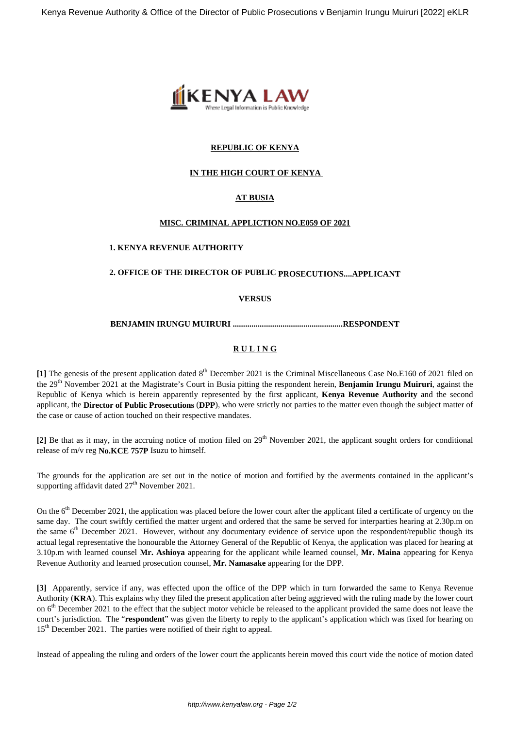

## **REPUBLIC OF KENYA**

## **IN THE HIGH COURT OF KENYA**

## **AT BUSIA**

## **MISC. CRIMINAL APPLICTION NO.E059 OF 2021**

## **1. KENYA REVENUE AUTHORITY**

# **2. OFFICE OF THE DIRECTOR OF PUBLIC PROSECUTIONS....APPLICANT**

#### **VERSUS**

#### **BENJAMIN IRUNGU MUIRURI .....................................................RESPONDENT**

## **R U L I N G**

[1] The genesis of the present application dated 8<sup>th</sup> December 2021 is the Criminal Miscellaneous Case No.E160 of 2021 filed on the 29th November 2021 at the Magistrate's Court in Busia pitting the respondent herein, **Benjamin Irungu Muiruri**, against the Republic of Kenya which is herein apparently represented by the first applicant, **Kenya Revenue Authority** and the second applicant, the **Director of Public Prosecutions** (**DPP**), who were strictly not parties to the matter even though the subject matter of the case or cause of action touched on their respective mandates.

[2] Be that as it may, in the accruing notice of motion filed on 29<sup>th</sup> November 2021, the applicant sought orders for conditional release of m/v reg **No.KCE 757P** Isuzu to himself.

The grounds for the application are set out in the notice of motion and fortified by the averments contained in the applicant's supporting affidavit dated 27<sup>th</sup> November 2021.

On the 6<sup>th</sup> December 2021, the application was placed before the lower court after the applicant filed a certificate of urgency on the same day. The court swiftly certified the matter urgent and ordered that the same be served for interparties hearing at 2.30p.m on the same 6<sup>th</sup> December 2021. However, without any documentary evidence of service upon the respondent/republic though its actual legal representative the honourable the Attorney General of the Republic of Kenya, the application was placed for hearing at 3.10p.m with learned counsel **Mr. Ashioya** appearing for the applicant while learned counsel, **Mr. Maina** appearing for Kenya Revenue Authority and learned prosecution counsel, **Mr. Namasake** appearing for the DPP.

**[3]** Apparently, service if any, was effected upon the office of the DPP which in turn forwarded the same to Kenya Revenue Authority (**KRA**). This explains why they filed the present application after being aggrieved with the ruling made by the lower court on  $6<sup>th</sup>$  December 2021 to the effect that the subject motor vehicle be released to the applicant provided the same does not leave the court's jurisdiction. The "**respondent**" was given the liberty to reply to the applicant's application which was fixed for hearing on 15<sup>th</sup> December 2021. The parties were notified of their right to appeal.

Instead of appealing the ruling and orders of the lower court the applicants herein moved this court vide the notice of motion dated